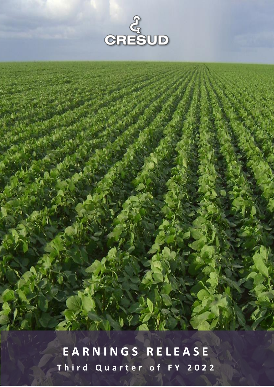

**E A R N I N G S R E L E A S E T h i r d Q u a r t e r o f F Y 2 0 2 2**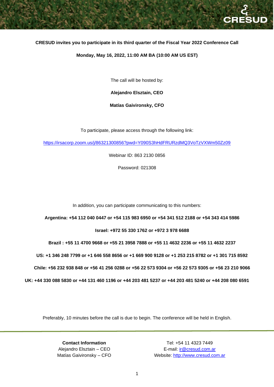## **CRESUD invites you to participate in its third quarter of the Fiscal Year 2022 Conference Call**

#### **Monday, May 16, 2022, 11:00 AM BA (10:00 AM US EST)**

The call will be hosted by:

**Alejandro Elsztain, CEO**

**Matías Gaivironsky, CFO**

To participate, please access through the following link:

<https://irsacorp.zoom.us/j/86321300856?pwd=Y090S3hHdFRURzdMQ3VoTzVXWm50Zz09>

Webinar ID: 863 2130 0856

Password: 021308

In addition, you can participate communicating to this numbers:

#### **Argentina: +54 112 040 0447 or +54 115 983 6950 or +54 341 512 2188 or +54 343 414 5986**

 **Israel: +972 55 330 1762 or +972 3 978 6688** 

 **Brazil : +55 11 4700 9668 or +55 21 3958 7888 or +55 11 4632 2236 or +55 11 4632 2237**

 **US: +1 346 248 7799 or +1 646 558 8656 or +1 669 900 9128 or +1 253 215 8782 or +1 301 715 8592**

 **Chile: +56 232 938 848 or +56 41 256 0288 or +56 22 573 9304 or +56 22 573 9305 or +56 23 210 9066**

**UK: +44 330 088 5830 or +44 131 460 1196 or +44 203 481 5237 or +44 203 481 5240 or +44 208 080 6591**

Preferably, 10 minutes before the call is due to begin. The conference will be held in English.

**Contact Information** Tel: +54 11 4323 7449

Alejandro Elsztain – CEO E-mail: [ir@cresud.com.ar](file://///srv-clr2-adm/Finanzas/TODOS/Balances%20y%20Press%20Releases/Cresud/FY%202013/3Q13/Versiones%20Finales/ir@cresud.com.ar) Matías Gaivironsky – CFO Website: [http://www.cresud.com.ar](http://www.cresud.com.ar/)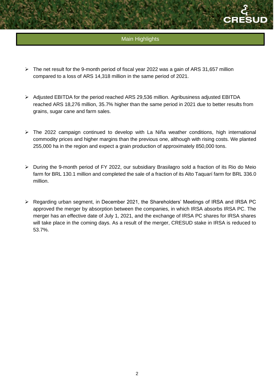

# Main Highlights

- $\triangleright$  The net result for the 9-month period of fiscal year 2022 was a gain of ARS 31,657 million compared to a loss of ARS 14,318 million in the same period of 2021.
- ➢ Adjusted EBITDA for the period reached ARS 29,536 million. Agribusiness adjusted EBITDA reached ARS 18,276 million, 35.7% higher than the same period in 2021 due to better results from grains, sugar cane and farm sales.
- ➢ The 2022 campaign continued to develop with La Niña weather conditions, high international commodity prices and higher margins than the previous one, although with rising costs. We planted 255,000 ha in the region and expect a grain production of approximately 850,000 tons.
- ➢ During the 9-month period of FY 2022, our subsidiary Brasilagro sold a fraction of its Rio do Meio farm for BRL 130.1 million and completed the sale of a fraction of its Alto Taquarí farm for BRL 336.0 million.
- ➢ Regarding urban segment, in December 2021, the Shareholders' Meetings of IRSA and IRSA PC approved the merger by absorption between the companies, in which IRSA absorbs IRSA PC. The merger has an effective date of July 1, 2021, and the exchange of IRSA PC shares for IRSA shares will take place in the coming days. As a result of the merger, CRESUD stake in IRSA is reduced to 53.7%.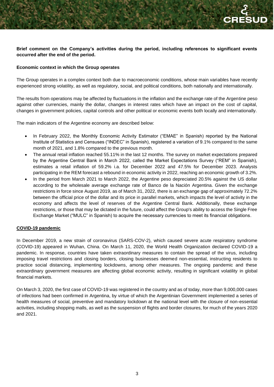# **Brief comment on the Company's activities during the period, including references to significant events occurred after the end of the period.**

# **Economic context in which the Group operates**

The Group operates in a complex context both due to macroeconomic conditions, whose main variables have recently experienced strong volatility, as well as regulatory, social, and political conditions, both nationally and internationally.

The results from operations may be affected by fluctuations in the inflation and the exchange rate of the Argentine peso against other currencies, mainly the dollar, changes in interest rates which have an impact on the cost of capital, changes in government policies, capital controls and other political or economic events both locally and internationally.

The main indicators of the Argentine economy are described below:

- In February 2022, the Monthly Economic Activity Estimator ("EMAE" in Spanish) reported by the National Institute of Statistics and Censuses ("INDEC" in Spanish), registered a variation of 9.1% compared to the same month of 2021, and 1.8% compared to the previous month.
- The annual retail inflation reached 55.11% in the last 12 months. The survey on market expectations prepared by the Argentine Central Bank in March 2022, called the Market Expectations Survey ("REM" in Spanish), estimates a retail inflation of 59.2% i.a. for December 2022 and 47.5% for December 2023. Analysts participating in the REM forecast a rebound in economic activity in 2022, reaching an economic growth of 3.2%.
- In the period from March 2021 to March 2022, the Argentine peso depreciated 20.5% against the US dollar according to the wholesale average exchange rate of Banco de la Nación Argentina. Given the exchange restrictions in force since August 2019, as of March 31, 2022, there is an exchange gap of approximately 72.2% between the official price of the dollar and its price in parallel markets, which impacts the level of activity in the economy and affects the level of reserves of the Argentine Central Bank. Additionally, these exchange restrictions, or those that may be dictated in the future, could affect the Group's ability to access the Single Free Exchange Market ("MULC" in Spanish) to acquire the necessary currencies to meet its financial obligations.

# **COVID-19 pandemic**

In December 2019, a new strain of coronavirus (SARS-COV-2), which caused severe acute respiratory syndrome (COVID-19) appeared in Wuhan, China. On March 11, 2020, the World Health Organization declared COVID-19 a pandemic. In response, countries have taken extraordinary measures to contain the spread of the virus, including imposing travel restrictions and closing borders, closing businesses deemed non-essential, instructing residents to practice social distancing, implementing lockdowns, among other measures. The ongoing pandemic and these extraordinary government measures are affecting global economic activity, resulting in significant volatility in global financial markets.

On March 3, 2020, the first case of COVID-19 was registered in the country and as of today, more than 9,000,000 cases of infections had been confirmed in Argentina, by virtue of which the Argentinian Government implemented a series of health measures of social, preventive and mandatory lockdown at the national level with the closure of non-essential activities, including shopping malls, as well as the suspension of flights and border closures, for much of the years 2020 and 2021.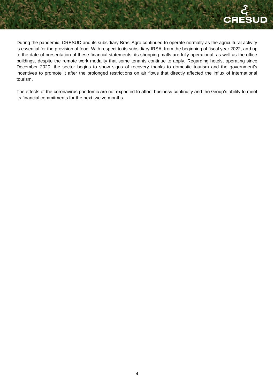During the pandemic, CRESUD and its subsidiary BrasilAgro continued to operate normally as the agricultural activity is essential for the provision of food. With respect to its subsidiary IRSA, from the beginning of fiscal year 2022, and up to the date of presentation of these financial statements, its shopping malls are fully operational, as well as the office buildings, despite the remote work modality that some tenants continue to apply. Regarding hotels, operating since December 2020, the sector begins to show signs of recovery thanks to domestic tourism and the government's incentives to promote it after the prolonged restrictions on air flows that directly affected the influx of international tourism.

The effects of the coronavirus pandemic are not expected to affect business continuity and the Group's ability to meet its financial commitments for the next twelve months.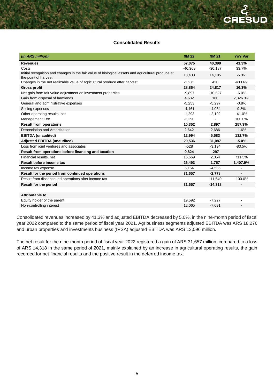## **Consolidated Results**

| (In ARS million)                                                                                                           | <b>9M22</b> | 9M 21     | <b>YoY Var</b> |
|----------------------------------------------------------------------------------------------------------------------------|-------------|-----------|----------------|
| <b>Revenues</b>                                                                                                            | 57,075      | 40,399    | 41.3%          |
| Costs                                                                                                                      | $-40,369$   | $-30,187$ | 33.7%          |
| Initial recognition and changes in the fair value of biological assets and agricultural produce at<br>the point of harvest | 13,433      | 14,185    | $-5.3%$        |
| Changes in the net realizable value of agricultural produce after harvest                                                  | $-1,275$    | 420       | $-403.6%$      |
| <b>Gross profit</b>                                                                                                        | 28,864      | 24,817    | 16.3%          |
| Net gain from fair value adjustment on investment properties                                                               | $-9,897$    | $-10,527$ | $-6.0%$        |
| Gain from disposal of farmlands                                                                                            | 4,682       | 160       | 2,826.3%       |
| General and administrative expenses                                                                                        | $-5,253$    | $-5,297$  | $-0.8%$        |
| Selling expenses                                                                                                           | $-4,461$    | $-4,064$  | 9.8%           |
| Other operating results, net                                                                                               | $-1,293$    | $-2,192$  | $-41.0%$       |
| Management Fee                                                                                                             | $-2,290$    |           | 100.0%         |
| <b>Result from operations</b>                                                                                              | 10,352      | 2,897     | 257.3%         |
| Depreciation and Amortization                                                                                              | 2,642       | 2,686     | $-1.6%$        |
| <b>EBITDA</b> (unaudited)                                                                                                  | 12,994      | 5,583     | 132.7%         |
| <b>Adjusted EBITDA (unaudited)</b>                                                                                         | 29,536      | 31,087    | $-5.0%$        |
| Loss from joint ventures and associates                                                                                    | $-528$      | $-3,194$  | $-83.5%$       |
| Result from operations before financing and taxation                                                                       | 9,824       | $-297$    |                |
| Financial results, net                                                                                                     | 16,669      | 2,054     | 711.5%         |
| Result before income tax                                                                                                   | 26,493      | 1,757     | 1,407.9%       |
| Income tax expense                                                                                                         | 5,164       | $-4,535$  | $\overline{a}$ |
| Result for the period from continued operations                                                                            | 31,657      | $-2,778$  |                |
| Result from discontinued operations after income tax                                                                       |             | $-11,540$ | $-100.0%$      |
| <b>Result for the period</b>                                                                                               | 31,657      | $-14,318$ | $\blacksquare$ |
|                                                                                                                            |             |           |                |
| Attributable to                                                                                                            |             |           |                |
| Equity holder of the parent                                                                                                | 19,592      | $-7,227$  |                |
| Non-controlling interest                                                                                                   | 12,065      | $-7,091$  |                |

Consolidated revenues increased by 41.3% and adjusted EBITDA decreased by 5.0%, in the nine-month period of fiscal year 2022 compared to the same period of fiscal year 2021. Agribusiness segments adjusted EBITDA was ARS 18,276 and urban properties and investments business (IRSA) adjusted EBITDA was ARS 13,096 million.

The net result for the nine-month period of fiscal year 2022 registered a gain of ARS 31,657 million, compared to a loss of ARS 14,318 in the same period of 2021, mainly explained by an increase in agricultural operating results, the gain recorded for net financial results and the positive result in the deferred income tax.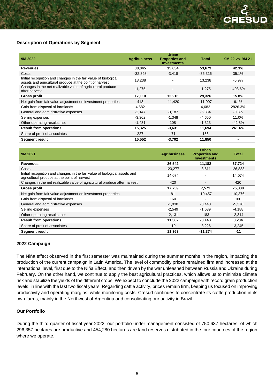# **Description of Operations by Segment**

| 9M 2022                                                                                                                    | <b>Agribusiness</b> | <b>Urban</b><br><b>Properties and</b><br><b>Investments</b> | <b>Total</b> | 9M 22 vs. 9M 21 |
|----------------------------------------------------------------------------------------------------------------------------|---------------------|-------------------------------------------------------------|--------------|-----------------|
| <b>Revenues</b>                                                                                                            | 38,045              | 15,634                                                      | 53,679       | 42.3%           |
| Costs                                                                                                                      | $-32.898$           | $-3.418$                                                    | $-36,316$    | 35.1%           |
| Initial recognition and changes in the fair value of biological<br>assets and agricultural produce at the point of harvest | 13,238              |                                                             | 13,238       | $-5.9%$         |
| Changes in the net realizable value of agricultural produce<br>after harvest                                               | $-1,275$            |                                                             | $-1,275$     | $-403.6\%$      |
| Gross profit                                                                                                               | 17,110              | 12,216                                                      | 29,326       | 15.8%           |
| Net gain from fair value adjustment on investment properties                                                               | 413                 | $-11,420$                                                   | $-11,007$    | 6.1%            |
| Gain from disposal of farmlands                                                                                            | 4,682               |                                                             | 4,682        | 2826.3%         |
| General and administrative expenses                                                                                        | $-2,147$            | $-3,187$                                                    | $-5,334$     | $-0.8%$         |
| Selling expenses                                                                                                           | $-3,302$            | $-1,348$                                                    | $-4,650$     | 11.0%           |
| Other operating results, net                                                                                               | $-1,431$            | 108                                                         | $-1,323$     | -42.8%          |
| <b>Result from operations</b>                                                                                              | 15,325              | $-3,631$                                                    | 11,694       | 261.6%          |
| Share of profit of associates                                                                                              | 227                 | $-71$                                                       | 156          |                 |
| <b>Segment result</b>                                                                                                      | 15,552              | $-3,702$                                                    | 11,850       | -               |

| 9M 2021                                                                                                                    | <b>Agribusiness</b> | <b>Urban</b><br><b>Properties and</b><br><b>Investments</b> | <b>Total</b> |
|----------------------------------------------------------------------------------------------------------------------------|---------------------|-------------------------------------------------------------|--------------|
| <b>Revenues</b>                                                                                                            | 26,542              | 11,182                                                      | 37,724       |
| Costs                                                                                                                      | $-23,277$           | $-3,611$                                                    | $-26,888$    |
| Initial recognition and changes in the fair value of biological assets and<br>agricultural produce at the point of harvest | 14,074              |                                                             | 14,074       |
| Changes in the net realizable value of agricultural produce after harvest                                                  | 420                 |                                                             | 420          |
| <b>Gross profit</b>                                                                                                        | 17,759              | 7,571                                                       | 25,330       |
| Net gain from fair value adjustment on investment properties                                                               | 81                  | $-10,457$                                                   | $-10.376$    |
| Gain from disposal of farmlands                                                                                            | 160                 |                                                             | 160          |
| General and administrative expenses                                                                                        | $-1,938$            | $-3.440$                                                    | $-5,378$     |
| Selling expenses                                                                                                           | $-2,549$            | $-1,639$                                                    | $-4,188$     |
| Other operating results, net                                                                                               | $-2,131$            | -183                                                        | $-2,314$     |
| <b>Result from operations</b>                                                                                              | 11,382              | $-8,148$                                                    | 3,234        |
| Share of profit of associates                                                                                              | $-19$               | $-3,226$                                                    | $-3,245$     |
| <b>Segment result</b>                                                                                                      | 11,363              | $-11,374$                                                   | $-11$        |

#### **2022 Campaign**

The Niña effect observed in the first semester was maintained during the summer months in the region, impacting the production of the current campaign in Latin America. The level of commodity prices remained firm and increased at the international level, first due to the Niña Effect, and then driven by the war unleashed between Russia and Ukraine during February. On the other hand, we continue to apply the best agricultural practices, which allows us to minimize climate risk and stabilize the yields of the different crops. We expect to conclude the 2022 campaign with record grain production levels, in line with the last two fiscal years. Regarding cattle activity, prices remain firm, keeping us focused on improving productivity and operating margins, while monitoring costs. Cresud continues to concentrate its cattle production in its own farms, mainly in the Northwest of Argentina and consolidating our activity in Brazil.

# **Our Portfolio**

During the third quarter of fiscal year 2022, our portfolio under management consisted of 750,637 hectares, of which 296,357 hectares are productive and 454,280 hectares are land reserves distributed in the four countries of the region where we operate.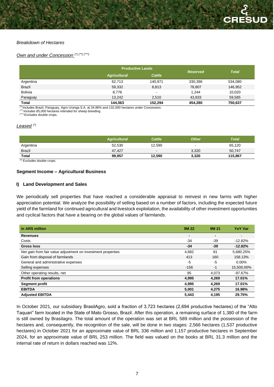## *Breakdown of Hectares*

# *Own and under Concession (\*) (\*\*) (\*\*\*)*

|                | <b>Productive Lands</b> |         | <b>Reserved</b> |              |
|----------------|-------------------------|---------|-----------------|--------------|
|                | <b>Agricultural</b>     | Cattle  |                 | <b>Total</b> |
| Argentina      | 62,713                  | 140,971 | 330,396         | 534,080      |
| <b>Brazil</b>  | 59,332                  | 8,813   | 78,807          | 146,952      |
| <b>Bolivia</b> | 8,776                   | $\,$    | 1,244           | 10,020       |
| Paraguay       | 13.242                  | 2.510   | 43,833          | 59.585       |
| <b>Total</b>   | 144,063                 | 152,294 | 454,280         | 750,637      |

(\*) Includes Brazil, Paraguay, Agro-Uranga S.A. at 34.86% and 132,000 hectares under Concession.

(\*\*) Includes 85,000 hectares intended for sheep breeding

(\*\*\*) Excludes double crops.

#### *Leased (\*)*

|                         | <b>Agricultural</b> | <b>Cattle</b>            | <b>Other</b> | <b>Total</b> |
|-------------------------|---------------------|--------------------------|--------------|--------------|
| Argentina               | 52,530              | 12,590                   | -            | 65,120       |
| <b>Brazil</b>           | 47.427              | $\overline{\phantom{a}}$ | 3,320        | 50,747       |
| <b>Total</b><br>_______ | 99.957              | 12,590                   | 3,320        | 115.867      |

(\*) Excludes double crops.

#### **Segment Income – Agricultural Business**

#### **I) Land Development and Sales**

We periodically sell properties that have reached a considerable appraisal to reinvest in new farms with higher appreciation potential. We analyze the possibility of selling based on a number of factors, including the expected future yield of the farmland for continued agricultural and livestock exploitation, the availability of other investment opportunities and cyclical factors that have a bearing on the global values of farmlands.

| in ARS million                                               | <b>9M22</b> | 9M 21          | <b>YoY Var</b> |
|--------------------------------------------------------------|-------------|----------------|----------------|
| <b>Revenues</b>                                              | -           | $\blacksquare$ | $\blacksquare$ |
| Costs                                                        | -34         | -39            | $-12.82%$      |
| <b>Gross loss</b>                                            | $-34$       | -39            | $-12.82%$      |
| Net gain from fair value adjustment on investment properties | 4,682       | 81             | 5,680.25%      |
| Gain from disposal of farmlands                              | 413         | 160            | 158.13%        |
| General and administrative expenses                          | -5          | -5             | $0.00\%$       |
| Selling expenses                                             | $-156$      | $-1$           | 15,500.00%     |
| Other operating results, net                                 | 95          | 4.073          | $-97.67%$      |
| <b>Profit from operations</b>                                | 4,995       | 4,269          | 17.01%         |
| <b>Segment profit</b>                                        | 4,995       | 4,269          | 17.01%         |
| <b>EBITDA</b>                                                | 5,001       | 4.275          | 16.98%         |
| <b>Adjusted EBITDA</b>                                       | 5.443       | 4.195          | 29.75%         |

In October 2021, our subsidiary BrasilAgro, sold a fraction of 3,723 hectares (2,694 productive hectares) of the "Alto Taquari" farm located in the State of Mato Grosso, Brazil. After this operation, a remaining surface of 1,380 of the farm is still owned by Brasilagro. The total amount of the operation was set at BRL 589 million and the possession of the hectares and, consequently, the recognition of the sale, will be done in two stages: 2,566 hectares (1,537 productive hectares) in October 2021 for an approximate value of BRL 336 million and 1,157 productive hectares in September 2024, for an approximate value of BRL 253 million. The field was valued on the books at BRL 31.3 million and the internal rate of return in dollars reached was 12%.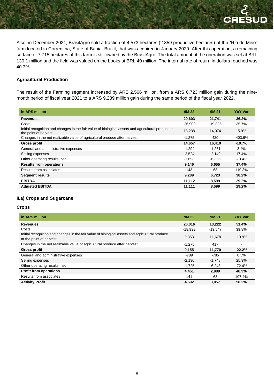SUD

Also, in December 2021, BrasilAgro sold a fraction of 4,573 hectares (2.859 productive hectares) of the "Rio do Meio" farm located in Correntina, State of Bahia, Brazil, that was acquired in January 2020. After this operation, a remaining surface of 7,715 hectares of this farm is still owned by the BrasilAgro. The total amount of the operation was set at BRL 130.1 million and the field was valued on the books at BRL 40 million. The internal rate of return in dollars reached was 40.3%.

# **Agricultural Production**

The result of the Farming segment increased by ARS 2.566 million, from a ARS 6,723 million gain during the ninemonth period of fiscal year 2021 to a ARS 9,289 million gain during the same period of the fiscal year 2022.

| in ARS million                                                                                                             | <b>9M22</b> | 9M 21     | <b>YoY Var</b> |
|----------------------------------------------------------------------------------------------------------------------------|-------------|-----------|----------------|
| <b>Revenues</b>                                                                                                            | 29,603      | 21,741    | 36.2%          |
| Costs                                                                                                                      | $-26,909$   | $-19,825$ | 35.7%          |
| Initial recognition and changes in the fair value of biological assets and agricultural produce at<br>the point of harvest | 13,238      | 14.074    | $-5.9%$        |
| Changes in the net realizable value of agricultural produce after harvest                                                  | $-1,275$    | 420       | -403.6%        |
| <b>Gross profit</b>                                                                                                        | 14.657      | 16,410    | $-10.7%$       |
| General and administrative expenses                                                                                        | $-1,294$    | $-1,251$  | $3.4\%$        |
| Selling expenses                                                                                                           | $-2.524$    | $-2.149$  | 17.4%          |
| Other operating results, net                                                                                               | $-1,693$    | $-6,355$  | $-73.4%$       |
| <b>Results from operations</b>                                                                                             | 9,146       | 6,655     | 37.4%          |
| Results from associates                                                                                                    | 143         | 68        | 110.3%         |
| <b>Segment results</b>                                                                                                     | 9,289       | 6,723     | 38.2%          |
| <b>EBITDA</b>                                                                                                              | 11,112      | 8.599     | 29.2%          |
| <b>Adjusted EBITDA</b>                                                                                                     | 11,111      | 8,599     | 29.2%          |

#### **II.a) Crops and Sugarcane**

#### **Crops**

| in ARS million                                                                                                             | <b>9M22</b> | 9M 21     | <b>YoY Var</b> |
|----------------------------------------------------------------------------------------------------------------------------|-------------|-----------|----------------|
| <b>Revenues</b>                                                                                                            | 20,016      | 13,222    | 51.4%          |
| Costs                                                                                                                      | $-18.939$   | $-13.547$ | 39.8%          |
| Initial recognition and changes in the fair value of biological assets and agricultural produce<br>at the point of harvest | 9.353       | 11.678    | $-19.9%$       |
| Changes in the net realizable value of agricultural produce after harvest                                                  | $-1,275$    | 417       |                |
| <b>Gross profit</b>                                                                                                        | 9,155       | 11,770    | $-22.2%$       |
| General and administrative expenses                                                                                        | $-789$      | $-785$    | 0.5%           |
| Selling expenses                                                                                                           | $-2.190$    | $-1.748$  | 25.3%          |
| Other operating results, net                                                                                               | $-1,725$    | $-6,248$  | $-72.4%$       |
| <b>Profit from operations</b>                                                                                              | 4,451       | 2.989     | 48.9%          |
| Results from associates                                                                                                    | 141         | 68        | 107.4%         |
| <b>Activity Profit</b>                                                                                                     | 4,592       | 3,057     | 50.2%          |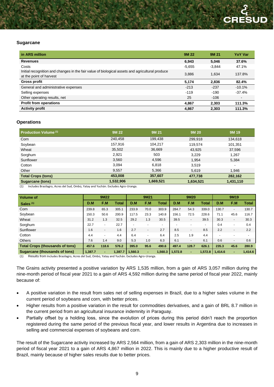#### **Sugarcane**

| in ARS million                                                                                                             | <b>9M22</b> | 9M 21    | <b>YoY Var</b>           |
|----------------------------------------------------------------------------------------------------------------------------|-------------|----------|--------------------------|
| <b>Revenues</b>                                                                                                            | 6,943       | 5,046    | 37.6%                    |
| Costs                                                                                                                      | $-5,655$    | $-3,844$ | 47.1%                    |
| Initial recognition and changes in the fair value of biological assets and agricultural produce<br>at the point of harvest | 3.886       | 1.634    | 137.8%                   |
| <b>Gross profit</b>                                                                                                        | 5,174       | 2.836    | 82.4%                    |
| General and administrative expenses                                                                                        | $-213$      | $-237$   | $-10.1%$                 |
| Selling expenses                                                                                                           | $-119$      | $-190$   | $-37.4%$                 |
| Other operating results, net                                                                                               | 25          | $-106$   | $\overline{\phantom{a}}$ |
| <b>Profit from operations</b>                                                                                              | 4.867       | 2,303    | 111.3%                   |
| <b>Activity profit</b>                                                                                                     | 4,867       | 2,303    | 111.3%                   |

#### **Operations**

| Production Volume <sup>(1)</sup> | 9M 22     | 9M 21     | <b>9M20</b> | <b>9M19</b> |
|----------------------------------|-----------|-----------|-------------|-------------|
| Corn                             | 240,458   | 199,438   | 299,918     | 134,618     |
| Soybean                          | 157,916   | 104.217   | 119,574     | 101,351     |
| Wheat                            | 35,502    | 36,669    | 43,925      | 37,596      |
| Sorghum                          | 2,921     | 503       | 3,229       | 1.267       |
| Sunflower                        | 3,560     | 4,596     | 1.954       | 5,384       |
| Cotton                           | 3,094     | 6,818     | 3,519       | $\sim$      |
| Other                            | 9,557     | 5,366     | 5,619       | 1.946       |
| <b>Total Crops (tons)</b>        | 453.008   | 357.607   | 477,738     | 282,162     |
| <b>Sugarcane (tons)</b>          | 1,532,906 | 1,669,521 | 1,634,521   | 1,431,110   |

(1) Includes Brasilagro, Acres del Sud, Ombú, Yatay and Yuchán. Excludes Agro-Uranga.

| <b>Volume of</b>                       |         | 9M22   |         |                | 9M21                     |              |         | 9M20                     |                |         | 9M19 |                          |
|----------------------------------------|---------|--------|---------|----------------|--------------------------|--------------|---------|--------------------------|----------------|---------|------|--------------------------|
| Sales $(1)$                            | D.M     | F.M    | Total   | D.M            | F.M                      | <b>Total</b> | D.M     | F.M                      | Total          | D.M     | F.M  | <b>Total</b>             |
| Corn                                   | 239.8   | 65.3   | 305.1   | 233.9          | 70.0                     | 303.9        | 284.7   | 54.3                     | 339.0          | 130.7   | ٠    | 130.7                    |
| Soybean                                | 150.3   | 50.6   | 200.9   | 117.5          | 23.3                     | 140.8        | 156.1   | 72.5                     | 228.6          | 71.1    | 45.6 | 116.7                    |
| Wheat                                  | 31.2    | 1.3    | 32.5    | 29.2           | 1.3                      | 30.5         | 39.5    | $\overline{\phantom{a}}$ | 39.5           | 30.3    | ٠    | 30.3                     |
| Sorghum                                | 22.7    | $\sim$ | 22.7    | $\overline{a}$ |                          | $\sim$       |         | $\overline{a}$           | $\blacksquare$ | 0.4     | ۰    | 0.4                      |
| Sunflower                              | 1.6     | $\sim$ | 1.6     | 2.7            | $\overline{\phantom{a}}$ | 2.7          | 8.5     | $\blacksquare$           | 8.5            | 2.2     | ٠    | 2.2                      |
| Cotton                                 | 4.4     | $\sim$ | 4.4     | 6.4            | $\overline{a}$           | 6.4          | 2.5     | 1.9                      | 4.4            | ٠       |      | $\overline{\phantom{a}}$ |
| <b>Others</b>                          | 7.6     | 1.4    | 9.0     | 5.3            | 1.0                      | 6.3          | 6.1     | $\overline{\phantom{a}}$ | 6.1            | 0.6     | ٠    | 0.6                      |
| <b>Total Crops (thousands of tons)</b> | 457.6   | 118.6  | 576.2   | 395.0          | 95.6                     | 490.6        | 497.4   | 128.7                    | 626.1          | 235.3   | 45.6 | 280.9                    |
| Sugarcane (thousands of tons)          | 1.387.7 | ۰      | 1,387.7 | 1,560.3        | ۰.                       | 1,560.3      | 1,572.8 | $\sim$                   | 1,572.8        | 1,414.6 | ٠    | 1,414.6                  |
| .                                      | .       |        |         | .              |                          |              |         |                          |                |         |      |                          |

(1) Results from Includes Brasilagro, Acres del Sud, Ombú, Yatay and Yuchán. Excludes Agro-Uranga.

The Grains activity presented a positive variation by ARS 1,535 million, from a gain of ARS 3,057 million during the nine-month period of fiscal year 2021 to a gain of ARS 4,592 million during the same period of fiscal year 2022, mainly because of:

- A positive variation in the result from sales net of selling expenses in Brazil, due to a higher sales volume in the current period of soybeans and corn, with better prices.
- Higher results from a positive variation in the result for commodities derivatives, and a gain of BRL 8.7 million in the current period from an agricultural insurance indemnity in Paraguay.
- Partially offset by a holding loss, since the evolution of prices during this period didn't reach the proportion registered during the same period of the previous fiscal year, and lower results in Argentina due to increases in selling and commercial expenses of soybeans and corn.

The result of the Sugarcane activity increased by ARS 2,564 million, from a gain of ARS 2,303 million in the nine-month period of fiscal year 2021 to a gain of ARS 4,867 million in 2022. This is mainly due to a higher productive result of Brazil, mainly because of higher sales results due to better prices.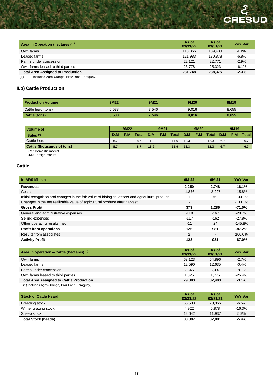# **CRESUD**

| Area in Operation (hectares) <sup>(1)</sup>       | As of<br>03/31/22 | As of<br>03/31/21 | <b>YoY Var</b> |
|---------------------------------------------------|-------------------|-------------------|----------------|
| Own farms                                         | 113.866           | 109.403           | 4.1%           |
| Leased farms                                      | 121.983           | 130.878           | $-6.8%$        |
| Farms under concession                            | 22.121            | 22.771            | $-2.9%$        |
| Own farms leased to third parties                 | 23.778            | 25.323            | $-6.1%$        |
| <b>Total Area Assigned to Production</b>          | 281.748           | 288.375           | $-2.3%$        |
| Includes Agro-Uranga, Brazil and Paraguay,<br>(1) |                   |                   |                |

# **II.b) Cattle Production**

| <b>Production Volume</b> | 9M22  | 9M21  | 9M20  | 9M <sub>19</sub> |
|--------------------------|-------|-------|-------|------------------|
| Cattle herd (tons)       | 6.538 | 7.546 | 9.016 | 8,655            |
| Cattle (tons)            | 6,538 | 7,546 | 9,016 | 8,655            |

| <b>Volume of</b>                  |     | 9M22 |       |      | 9M21 |       |      | 9M20 |              |     | 9M <sub>19</sub> |       |
|-----------------------------------|-----|------|-------|------|------|-------|------|------|--------------|-----|------------------|-------|
| Sales $(1)$                       | D.M | F.M  | 'otal | D.M  | F.M  | Total | D.M  | F.M. | <b>Total</b> | D.M | F.M              | Total |
| Cattle herd                       | 8.7 |      | 8.7   | 1.9  |      | 11.9  | 12.3 |      | 12.3         | 6.7 |                  | 6.7   |
| <b>Cattle (thousands of tons)</b> | 8.7 |      | 8.7   | 11.9 | -    | 11.9  | 12.3 |      | 12.3         | 6.7 |                  | 6.7   |

D.M.: Domestic market

F.M.: Foreign market

# **Cattle**

| In ARS Million                                                                                  | <b>9M22</b> | 9M 21    | <b>YoY Var</b> |
|-------------------------------------------------------------------------------------------------|-------------|----------|----------------|
| <b>Revenues</b>                                                                                 | 2.250       | 2.748    | $-18.1%$       |
| Costs                                                                                           | $-1.876$    | $-2.227$ | $-15.8%$       |
| Initial recognition and changes in the fair value of biological assets and agricultural produce | -1          | 762      | $-100.1%$      |
| Changes in the net realizable value of agricultural produce after harvest                       | ۰           | 3        | $-100.0\%$     |
| <b>Gross Profit</b>                                                                             | 373         | 1.286    | $-71.0%$       |
| General and administrative expenses                                                             | $-119$      | $-167$   | $-28.7%$       |
| Selling expenses                                                                                | $-117$      | $-162$   | $-27.8%$       |
| Other operating results, net                                                                    | $-11$       | 24       | $-145.8%$      |
| <b>Profit from operations</b>                                                                   | 126         | 981      | $-87.2%$       |
| Results from associates                                                                         | 2           |          | 100.0%         |
| <b>Activity Profit</b>                                                                          | 128         | 981      | $-87.0%$       |

| Area in operation – Cattle (hectares) $(1)$     | As of<br>03/31/22 | As of<br>03/31/21 | <b>YoY Var</b> |
|-------------------------------------------------|-------------------|-------------------|----------------|
| Own farms                                       | 63.123            | 64.896            | $-2.7%$        |
| Leased farms                                    | 12.590            | 12.635            | $-0.4%$        |
| Farms under concession                          | 2.845             | 3.097             | $-8.1\%$       |
| Own farms leased to third parties               | 1.325             | 1.775             | $-25.4%$       |
| <b>Total Area Assigned to Cattle Production</b> | 79.883            | 82,403            | $-3.1%$        |

(1) Includes Agro-Uranga, Brazil and Paraguay,

| <b>Stock of Cattle Heard</b> | As of<br>03/31/22 | As of<br>03/31/21 | <b>YoY Var</b> |
|------------------------------|-------------------|-------------------|----------------|
| <b>Breeding stock</b>        | 65,533            | 70.066            | $-6.5%$        |
| Winter grazing stock         | 4.922             | 5.878             | $-16.3%$       |
| Sheep stock                  | 12.642            | 11.937            | 5.9%           |
| <b>Total Stock (heads)</b>   | 83,097            | 87,881            | $-5.4%$        |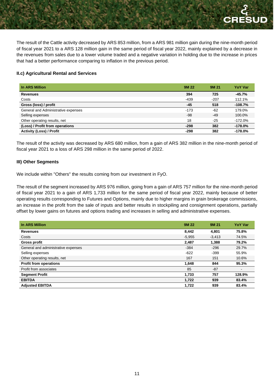The result of the Cattle activity decreased by ARS 853 million, from a ARS 981 million gain during the nine-month period of fiscal year 2021 to a ARS 128 million gain in the same period of fiscal year 2022, mainly explained by a decrease in the revenues from sales due to a lower volume traded and a negative variation in holding due to the increase in prices that had a better performance comparing to inflation in the previous period.

## **II.c) Agricultural Rental and Services**

| In ARS Million                      | <b>9M22</b> | 9M 21  | <b>YoY Var</b> |
|-------------------------------------|-------------|--------|----------------|
| <b>Revenues</b>                     | 394         | 725    | $-45.7%$       |
| Costs                               | -439        | $-207$ | 112.1%         |
| Gross (loss) / profit               | -45         | 518    | $-108.7%$      |
| General and Administrative expenses | $-173$      | $-62$  | 179.0%         |
| Selling expenses                    | -98         | $-49$  | 100.0%         |
| Other operating results, net        | 18          | $-25$  | $-172.0%$      |
| (Loss) / Profit from operations     | $-298$      | 382    | $-178.0%$      |
| <b>Activity (Loss) / Profit</b>     | $-298$      | 382    | $-178.0%$      |

The result of the activity was decreased by ARS 680 million, from a gain of ARS 382 million in the nine-month period of fiscal year 2021 to a loss of ARS 298 million in the same period of 2022.

#### **III) Other Segments**

We include within "Others" the results coming from our investment in FyO.

The result of the segment increased by ARS 976 million, going from a gain of ARS 757 million for the nine-month period of fiscal year 2021 to a gain of ARS 1,733 million for the same period of fiscal year 2022, mainly because of better operating results corresponding to Futures and Options, mainly due to higher margins in grain brokerage commissions, an increase in the profit from the sale of inputs and better results in stockpiling and consignment operations, partially offset by lower gains on futures and options trading and increases in selling and administrative expenses.

| In ARS Million                      | 9M 22    | 9M 21    | <b>YoY Var</b> |
|-------------------------------------|----------|----------|----------------|
| <b>Revenues</b>                     | 8.442    | 4.801    | 75.8%          |
| Costs                               | $-5,955$ | $-3,413$ | 74.5%          |
| <b>Gross profit</b>                 | 2,487    | 1.388    | 79.2%          |
| General and administrative expenses | $-384$   | $-296$   | 29.7%          |
| Selling expenses                    | $-622$   | $-399$   | 55.9%          |
| Other operating results, net        | 167      | 151      | 10.6%          |
| <b>Profit from operations</b>       | 1,648    | 844      | 95.3%          |
| Profit from associates              | 85       | $-87$    | $\blacksquare$ |
| <b>Segment Profit</b>               | 1,733    | 757      | 128.9%         |
| <b>EBITDA</b>                       | 1,722    | 939      | 83.4%          |
| <b>Adiusted EBITDA</b>              | 1,722    | 939      | 83.4%          |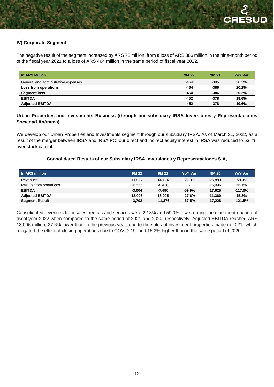# **IV) Corporate Segment**

The negative result of the segment increased by ARS 78 million, from a loss of ARS 386 million in the nine-month period of the fiscal year 2021 to a loss of ARS 464 million in the same period of fiscal year 2022.

| In ARS Million                      | <b>9M22</b> | 9M 21  | <b>YoY Var</b> |
|-------------------------------------|-------------|--------|----------------|
| General and administrative expenses | $-464$      | $-386$ | 20.2%          |
| Loss from operations                | $-464$      | $-386$ | 20.2%          |
| <b>Segment loss</b>                 | $-464$      | $-386$ | 20.2%          |
| <b>EBITDA</b>                       | $-452$      | $-378$ | 19.6%          |
| <b>Adjusted EBITDA</b>              | $-452$      | $-378$ | 19.6%          |

# **Urban Properties and Investments Business (through our subsidiary IRSA Inversiones y Representaciones Sociedad Anónima)**

We develop our Urban Properties and Investments segment through our subsidiary IRSA. As of March 31, 2022, as a result of the merger between IRSA and IRSA PC, our direct and indirect equity interest in IRSA was reduced to 53.7% over stock capital.

# **Consolidated Results of our Subsidiary IRSA Inversiones y Representaciones S,A,**

| In ARS million          | 9M 22    | <b>9M 21</b> | <b>YoY Var</b> | 9M 20  | YoY Var   |
|-------------------------|----------|--------------|----------------|--------|-----------|
| Revenues                | 11.027   | 14.194       | $-22.3%$       | 26.889 | $-59.0%$  |
| Results from operations | 26.565   | $-8.428$     | ۰              | 15.996 | 66.1%     |
| <b>EBITDA</b>           | $-3.004$ | -7.490       | -59.9%         | 17.625 | $-117.0%$ |
| <b>Adjusted EBITDA</b>  | 13.096   | 18,095       | -27.6%         | 11.360 | 15.3%     |
| <b>Segment Result</b>   | $-3,702$ | $-11.376$    | $-67.5%$       | 17.228 | $-121.5%$ |

Consolidated revenues from sales, rentals and services were 22.3% and 59.0% lower during the nine-month period of fiscal year 2022 when compared to the same period of 2021 and 2020, respectively. Adjusted EBITDA reached ARS 13,096 million, 27.6% lower than in the previous year, due to the sales of investment properties made in 2021 -which mitigated the effect of closing operations due to COVID-19- and 15.3% higher than in the same period of 2020.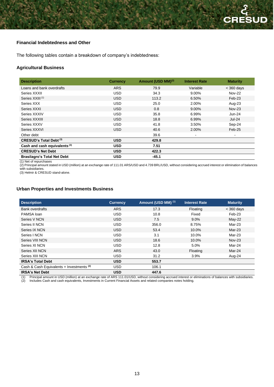#### **Financial Indebtedness and Other**

The following tables contain a breakdown of company's indebtedness:

## **Agricultural Business**

| <b>Description</b>                       | <b>Currency</b> | Amount (USD MM) <sup>(2)</sup> | <b>Interest Rate</b> | <b>Maturity</b>          |
|------------------------------------------|-----------------|--------------------------------|----------------------|--------------------------|
| Loans and bank overdrafts                | <b>ARS</b>      | 79.9                           | Variable             | $<$ 360 days             |
| Series XXXII                             | <b>USD</b>      | 34.3                           | 9.00%                | <b>Nov-22</b>            |
| Series XXIII <sup>(1)</sup>              | <b>USD</b>      | 113.2                          | 6.50%                | Feb-23                   |
| Series XXX                               | <b>USD</b>      | 25.0                           | 2.00%                | Aug-23                   |
| Series XXXI                              | <b>USD</b>      | 0.8                            | $9.00\%$             | $Nov-23$                 |
| Series XXXIV                             | <b>USD</b>      | 35.8                           | 6.99%                | $Jun-24$                 |
| Series XXXIII                            | <b>USD</b>      | 18.8                           | 6.99%                | $Jul-24$                 |
| Series XXXV                              | <b>USD</b>      | 41.8                           | 3.50%                | Sep-24                   |
| Series XXXVI                             | <b>USD</b>      | 40.6                           | 2.00%                | Feb-25                   |
| Other debt                               |                 | 39.6                           |                      | $\overline{\phantom{a}}$ |
| <b>CRESUD's Total Debt (3)</b>           | <b>USD</b>      | 429.8                          |                      |                          |
| Cash and cash equivalents <sup>(3)</sup> | <b>USD</b>      | 7.51                           |                      |                          |
| <b>CRESUD's Net Debt</b>                 | <b>USD</b>      | 422.3                          |                      |                          |
| <b>Brasilagro's Total Net Debt</b>       | <b>USD</b>      | $-45.1$                        |                      |                          |

(1) Net of repurchases

(2) Principal amount stated in USD (million) at an exchange rate of 111.01 ARS/USD and 4.739 BRL/USD, without considering accrued interest or elimination of balances with subsidiaries.

(3) Helmir & CRESUD stand-alone.

#### **Urban Properties and Investments Business**

| <b>Description</b>                                   | <b>Currency</b> | Amount (USD MM) (1) | <b>Interest Rate</b> | <b>Maturity</b> |
|------------------------------------------------------|-----------------|---------------------|----------------------|-----------------|
| <b>Bank overdrafts</b>                               | <b>ARS</b>      | 17.3                | Floating             | $<$ 360 days    |
| PAMSA loan                                           | <b>USD</b>      | 10.8                | Fixed                | Feb-23          |
| Series V NCN                                         | <b>USD</b>      | 7.5                 | $9.0\%$              | $May-22$        |
| Series II NCN                                        | <b>USD</b>      | 356.0               | 8.75%                | Mar-23          |
| Series IX NCN                                        | <b>USD</b>      | 53.4                | 10.0%                | Mar-23          |
| Series   NCN                                         | <b>USD</b>      | 3.1                 | 10.0%                | Mar-23          |
| Series VIII NCN                                      | <b>USD</b>      | 18.6                | 10.0%                | $Nov-23$        |
| Series XI NCN                                        | <b>USD</b>      | 12.8                | 5.0%                 | Mar-24          |
| Series XII NCN                                       | <b>ARS</b>      | 43.0                | Floating             | Mar-24          |
| Series XIII NCN                                      | <b>USD</b>      | 31.2                | 3.9%                 | Aug-24          |
| <b>IRSA's Total Debt</b>                             | <b>USD</b>      | 553.7               |                      |                 |
| Cash & Cash Equivalents + Investments <sup>(2)</sup> | <b>USD</b>      | 106.1               |                      |                 |
| <b>IRSA's Net Debt</b>                               | <b>USD</b>      | 447.6               |                      |                 |

(1) Principal amount in USD (million) at an exchange rate of ARS 111.01/USD, without considering accrued interest or eliminations of balances with subsidiaries. Includes Cash and cash equivalents, Investments in Current Financial Assets and related companies notes holding.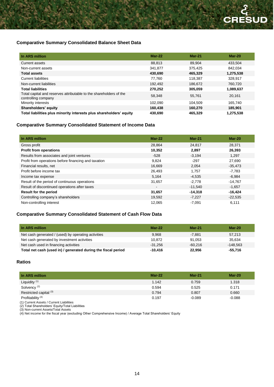# **Comparative Summary Consolidated Balance Sheet Data**

| In ARS million                                                                            | $Mar-22$ | $Mar-21$ | $Mar-20$  |
|-------------------------------------------------------------------------------------------|----------|----------|-----------|
| Current assets                                                                            | 88.813   | 89.904   | 433.504   |
| Non-current assets                                                                        | 341,877  | 375.425  | 842.034   |
| <b>Total assets</b>                                                                       | 430,690  | 465,329  | 1,275,538 |
| <b>Current liabilities</b>                                                                | 77.760   | 118.387  | 328.917   |
| Non-current liabilities                                                                   | 192,492  | 186.672  | 760.720   |
| <b>Total liabilities</b>                                                                  | 270.252  | 305,059  | 1,089,637 |
| Total capital and reserves attributable to the shareholders of the<br>controlling company | 58,348   | 55,761   | 20,161    |
| Minority interests                                                                        | 102.090  | 104.509  | 165.740   |
| Shareholders' equity                                                                      | 160,438  | 160.270  | 185.901   |
| Total liabilities plus minority interests plus shareholders' equity                       | 430,690  | 465,329  | 1,275,538 |

# **Comparative Summary Consolidated Statement of Income Data**

| In ARS million                                       | $Mar-22$       | $Mar-21$  | $Mar-20$  |
|------------------------------------------------------|----------------|-----------|-----------|
| Gross profit                                         | 28,864         | 24,817    | 28,371    |
| <b>Profit from operations</b>                        | 10,352         | 2,897     | 26,393    |
| Results from associates and joint ventures           | $-528$         | $-3,194$  | 1.297     |
| Profit from operations before financing and taxation | 9,824          | $-297$    | 27,690    |
| Financial results, net                               | 16,669         | 2,054     | $-35,473$ |
| Profit before income tax                             | 26,493         | 1.757     | $-7,783$  |
| Income tax expense                                   | 5,164          | $-4.535$  | $-6.984$  |
| Result of the period of continuous operations        | 31,657         | $-2,778$  | $-14,767$ |
| Result of discontinued operations after taxes        | $\blacksquare$ | $-11,540$ | $-1,657$  |
| <b>Result for the period</b>                         | 31,657         | $-14,318$ | $-16,424$ |
| Controlling company's shareholders                   | 19,592         | $-7,227$  | $-22,535$ |
| Non-controlling interest                             | 12,065         | $-7,091$  | 6,111     |

# **Comparative Summary Consolidated Statement of Cash Flow Data**

| In ARS million                                                | $Mar-22$  | $Mar-21$  | $Mar-20$   |
|---------------------------------------------------------------|-----------|-----------|------------|
| Net cash generated / (used) by operating activities           | 9,968     | $-7,881$  | 57.213     |
| Net cash generated by investment activities                   | 10.872    | 91.053    | 35.634     |
| Net cash used in financing activities                         | $-31.256$ | $-60.216$ | $-148.563$ |
| Total net cash (used in) / generated during the fiscal period | $-10.416$ | 22.956    | $-55,716$  |

#### **Ratios**

| In ARS million                               | $Mar-22$ | <b>Mar-21</b> | $Mar-20$ |
|----------------------------------------------|----------|---------------|----------|
| Liquidity $(1)$                              | 1.142    | 0.759         | 1.318    |
| Solvency <sup>(2)</sup>                      | 0.594    | 0.525         | 0.171    |
| Restricted capital <sup>(3)</sup>            | 0.794    | 0.807         | 0.660    |
| Profitability $(4)$                          | 0.197    | $-0.089$      | $-0.088$ |
| $(4)$ Current Appete $($ Current Lightlities |          |               |          |

(1) Current Assets / Current Liabilities

(2) Total Shareholders' Equity/Total Liabilities

(3) Non-current Assets/Total Assets

(4) Net income for the fiscal year (excluding Other Comprehensive Income) / Average Total Shareholders' Equity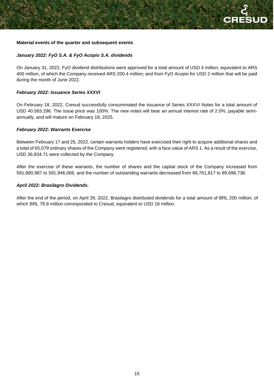#### **Material events of the quarter and subsequent events**

## *January 2022: FyO S.A. & FyO Acopio S.A. dividends*

On January 31, 2022, FyO dividend distributions were approved for a total amount of USD 4 million, equivalent to ARS 400 million, of which the Company received ARS 200.4 million; and from FyO Acopio for USD 2 million that will be paid during the month of June 2022.

#### *February 2022: Issuance Series XXXVI*

On February 18, 2022, Cresud successfully consummated the issuance of Series XXXVI Notes for a total amount of USD 40.583.296. The issue price was 100%. The new notes will bear an annual interest rate of 2.0%, payable semiannually, and will mature on February 18, 2025.

#### *February 2022: Warrants Exercise*

Between February 17 and 25, 2022, certain warrants holders have exercised their right to acquire additional shares and a total of 65,079 ordinary shares of the Company were registered, with a face value of ARS 1. As a result of the exercise, USD 36,834.71 were collected by the Company.

After the exercise of these warrants, the number of shares and the capital stock of the Company increased from 591,880,987 to 591,946,066, and the number of outstanding warrants decreased from 89,761,817 to 89,696,738.

#### *April 2022: Brasilagro Dividends.*

After the end of the period, on April 29, 2022, Brasilagro distributed dividends for a total amount of BRL 200 million, of which BRL 78.8 million corresponded to Cresud, equivalent to USD 16 million.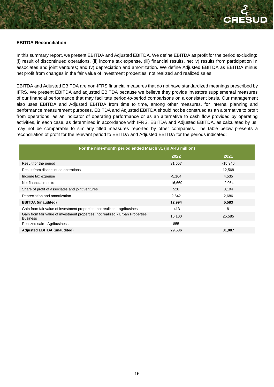#### **EBITDA Reconciliation**

In this summary report, we present EBITDA and Adjusted EBITDA. We define EBITDA as profit for the period excluding: (i) result of discontinued operations, (ii) income tax expense, (iii) financial results, net iv) results from participation in associates and joint ventures; and (v) depreciation and amortization. We define Adjusted EBITDA as EBITDA minus net profit from changes in the fair value of investment properties, not realized and realized sales.

EBITDA and Adjusted EBITDA are non-IFRS financial measures that do not have standardized meanings prescribed by IFRS. We present EBITDA and adjusted EBITDA because we believe they provide investors supplemental measures of our financial performance that may facilitate period-to-period comparisons on a consistent basis. Our management also uses EBITDA and Adjusted EBITDA from time to time, among other measures, for internal planning and performance measurement purposes. EBITDA and Adjusted EBITDA should not be construed as an alternative to profit from operations, as an indicator of operating performance or as an alternative to cash flow provided by operating activities, in each case, as determined in accordance with IFRS. EBITDA and Adjusted EBITDA, as calculated by us, may not be comparable to similarly titled measures reported by other companies. The table below presents a reconciliation of profit for the relevant period to EBITDA and Adjusted EBITDA for the periods indicated:

| For the nine-month period ended March 31 (in ARS million)                                         |           |           |  |
|---------------------------------------------------------------------------------------------------|-----------|-----------|--|
|                                                                                                   | 2022      | 2021      |  |
| Result for the period                                                                             | 31,657    | $-15,346$ |  |
| Result from discontinued operations                                                               | ۰         | 12,568    |  |
| Income tax expense                                                                                | $-5,164$  | 4,535     |  |
| Net financial results                                                                             | $-16,669$ | $-2,054$  |  |
| Share of profit of associates and joint ventures                                                  | 528       | 3,194     |  |
| Depreciation and amortization                                                                     | 2,642     | 2,686     |  |
| <b>EBITDA</b> (unaudited)                                                                         | 12,994    | 5,583     |  |
| Gain from fair value of investment properties, not realized - agribusiness                        | $-413$    | $-81$     |  |
| Gain from fair value of investment properties, not realized - Urban Properties<br><b>Business</b> | 16,100    | 25,585    |  |
| Realized sale - Agribusiness                                                                      | 855       | ۰         |  |
| <b>Adjusted EBITDA (unaudited)</b>                                                                | 29,536    | 31,087    |  |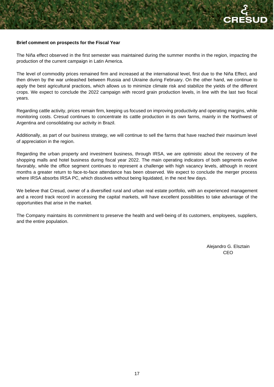#### **Brief comment on prospects for the Fiscal Year**

The Niña effect observed in the first semester was maintained during the summer months in the region, impacting the production of the current campaign in Latin America.

The level of commodity prices remained firm and increased at the international level, first due to the Niña Effect, and then driven by the war unleashed between Russia and Ukraine during February. On the other hand, we continue to apply the best agricultural practices, which allows us to minimize climate risk and stabilize the yields of the different crops. We expect to conclude the 2022 campaign with record grain production levels, in line with the last two fiscal years.

Regarding cattle activity, prices remain firm, keeping us focused on improving productivity and operating margins, while monitoring costs. Cresud continues to concentrate its cattle production in its own farms, mainly in the Northwest of Argentina and consolidating our activity in Brazil.

Additionally, as part of our business strategy, we will continue to sell the farms that have reached their maximum level of appreciation in the region.

Regarding the urban property and investment business, through IRSA, we are optimistic about the recovery of the shopping malls and hotel business during fiscal year 2022. The main operating indicators of both segments evolve favorably, while the office segment continues to represent a challenge with high vacancy levels, although in recent months a greater return to face-to-face attendance has been observed. We expect to conclude the merger process where IRSA absorbs IRSA PC, which dissolves without being liquidated, in the next few days.

We believe that Cresud, owner of a diversified rural and urban real estate portfolio, with an experienced management and a record track record in accessing the capital markets, will have excellent possibilities to take advantage of the opportunities that arise in the market.

The Company maintains its commitment to preserve the health and well-being of its customers, employees, suppliers, and the entire population.

> Alejandro G. Elsztain CEO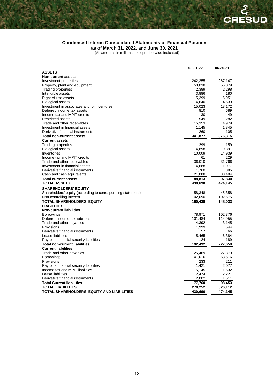# **Condensed Interim Consolidated Statements of Financial Position**

**as of March 31, 2022, and June 30, 2021**

(All amounts in millions, except otherwise indicated)

|                                                             | 03.31.22 | 06.30.21 |
|-------------------------------------------------------------|----------|----------|
| <b>ASSETS</b>                                               |          |          |
| <b>Non-current assets</b>                                   |          |          |
| Investment properties                                       | 242,355  | 267,147  |
| Property, plant and equipment                               | 50,038   | 56,079   |
| <b>Trading properties</b>                                   | 2,389    | 2,298    |
| Intangible assets                                           | 3,886    | 4,180    |
| Right-of-use assets                                         | 5,399    | 5,951    |
| <b>Biological assets</b>                                    | 4,640    | 4,539    |
| Investment in associates and joint ventures                 | 15,023   | 18,172   |
| Deferred income tax assets                                  | 810      | 689      |
| Income tax and MPIT credits                                 | 30       | 49       |
| Restricted assets                                           | 549      | 282      |
| Trade and other receivables                                 | 15,353   | 14,979   |
| Investment in financial assets                              | 1,145    | 1,845    |
| Derivative financial instruments                            | 260      | 105      |
| <b>Total non-current assets</b>                             | 341,877  | 376,315  |
| <b>Current assets</b>                                       |          |          |
| Trading properties                                          | 299      | 159      |
| <b>Biological assets</b>                                    | 14,898   | 9,391    |
| Inventories                                                 | 10,009   | 14,939   |
| Income tax and MPIT credits                                 | 61       | 229      |
| Trade and other receivables                                 | 36,010   | 31,766   |
| Investment in financial assets                              | 4,688    | 1,977    |
| Derivative financial instruments                            | 1,760    | 885      |
| Cash and cash equivalents                                   | 21,088   | 38,484   |
| <b>Total current assets</b>                                 | 88,813   | 97,830   |
| <b>TOTAL ASSETS</b>                                         | 430,690  | 474,145  |
| <b>SHAREHOLDERS' EQUITY</b>                                 |          |          |
| Shareholders' equity (according to corresponding statement) | 58,348   | 45,358   |
| Non-controlling interest                                    | 102,090  | 102,675  |
| TOTAL SHAREHOLDERS' EQUITY                                  | 160,438  | 148,033  |
| <b>LIABILITIES</b>                                          |          |          |
| <b>Non-current liabilities</b>                              |          |          |
| <b>Borrowings</b>                                           | 78,971   | 102,376  |
| Deferred income tax liabilities                             | 101,484  | 114,955  |
| Trade and other payables                                    | 4,392    | 3,145    |
| Provisions                                                  | 1,999    | 544      |
| Derivative financial instruments                            | 57       | 66       |
| Lease liabilities                                           | 5,465    | 6,384    |
| Payroll and social security liabilities                     | 124      | 189      |
| <b>Total non-current liabilities</b>                        | 192,492  | 227,659  |
| <b>Current liabilities</b>                                  |          |          |
| Trade and other payables                                    | 25,469   | 27,379   |
| <b>Borrowings</b>                                           | 41,016   | 63,516   |
| Provisions                                                  | 233      | 211      |
| Payroll and social security liabilities                     | 1,421    | 2,077    |
| Income tax and MPIT liabilities                             | 5,145    | 1,532    |
| Lease liabilities                                           | 2,474    | 2,227    |
| Derivative financial instruments                            | 2,002    | 1,511    |
| <b>Total Current liabilities</b>                            | 77,760   | 98,453   |
| <b>TOTAL LIABILITIES</b>                                    | 270,252  | 326,112  |
| TOTAL SHAREHOLDERS' EQUITY AND LIABILITIES                  | 430,690  | 474,145  |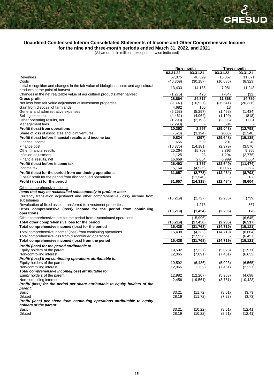#### **Unaudited Condensed Interim Consolidated Statements of Income and Other Comprehensive Income for the nine and three-month periods ended March 31, 2022, and 2021**

(All amounts in millions, except otherwise indicated)

|                                                                                                                                                                              | Nine month |           | Three month |           |
|------------------------------------------------------------------------------------------------------------------------------------------------------------------------------|------------|-----------|-------------|-----------|
|                                                                                                                                                                              | 03.31.22   | 03.31.21  | 03.31.22    | 03.31.21  |
| Revenues                                                                                                                                                                     | 57,075     | 40,399    | 15,357      | 11,871    |
| Costs                                                                                                                                                                        | (40, 369)  | (30, 187) | (10,686)    | (8,323)   |
| Initial recognition and changes in the fair value of biological assets and agricultural<br>products at the point of harvest                                                  | 13,433     | 14,185    | 7,981       | 11,243    |
| Changes in the net realizable value of agricultural products after harvest                                                                                                   | (1,275)    | 420       | (784)       | (32)      |
| <b>Gross profit</b>                                                                                                                                                          | 28,864     | 24,817    | 11,868      | 14,759    |
| Net loss from fair value adjustment of investment properties                                                                                                                 | (9,897)    | (10, 527) | (36, 541)   | (26, 336) |
| Gain from disposal of farmlands                                                                                                                                              | 4,682      | 160       | 13          |           |
| General and administrative expenses                                                                                                                                          | (5,253)    | (5,297)   | (1,468)     | (1,434)   |
| Selling expenses                                                                                                                                                             | (4, 461)   | (4,064)   | (1, 199)    | (818)     |
| Other operating results, net                                                                                                                                                 | (1,293)    | (2, 192)  | (2,305)     | 1,031     |
| Management fees                                                                                                                                                              | (2, 290)   |           | 584         |           |
| Profit/ (loss) from operations                                                                                                                                               | 10,352     | 2,897     | (29, 048)   | (12, 798) |
| Share of loss of associates and joint ventures                                                                                                                               | (528)      | (3, 194)  | (600)       | (2,340)   |
| Profit/ (loss) before financial results and income tax                                                                                                                       | 9,824      | (297)     | (29, 648)   | (15, 138) |
| Finance income                                                                                                                                                               | 655        | 509       | 291         | 49        |
| Finance cost                                                                                                                                                                 | (10, 375)  | (14, 181) | (2,979)     | (3,576)   |
| Other financial results                                                                                                                                                      | 25,264     | 15,703    | 8,393       | 9,966     |
| Inflation adjustment                                                                                                                                                         | 1,125      | 23        | 1,294       | (2,775)   |
| Financial results, net                                                                                                                                                       | 16,669     | 2,054     | 6,999       | 3,664     |
| Profit/ (loss) before income tax                                                                                                                                             | 26,493     | 1,757     | (22, 649)   | (11, 474) |
| Income tax                                                                                                                                                                   | 5,164      | (4, 535)  | 10,165      | 2,682     |
| Profit/ (loss) for the period from continuing operations                                                                                                                     | 31,657     | (2,778)   | (12, 484)   | (8, 792)  |
| (Loss)/ profit for the period from discontinued operations                                                                                                                   |            | (11, 540) |             | 188       |
| Profit / (loss) for the period                                                                                                                                               | 31,657     | (14, 318) | (12, 484)   | (8,604)   |
|                                                                                                                                                                              |            |           |             |           |
| Other comprehensive income:<br>Items that may be reclassified subsequently to profit or loss:<br>Currency translation adjustment and other comprehensive (loss)/ income from | (16, 219)  | (2,727)   | (2, 235)    | (739)     |
| subsidiaries                                                                                                                                                                 |            |           |             |           |
| Revaluation of fixed assets transferred to investment properties                                                                                                             |            | 1,273     |             | 867       |
| Other comprehensive (loss)/ income for the period from continuing<br>operations                                                                                              | (16, 219)  | (1, 454)  | (2, 235)    | 128       |
| Other comprehensive loss for the period from discontinued operations                                                                                                         |            | (15,996)  |             | (6, 645)  |
| Total other comprehensive loss for the period                                                                                                                                | (16,219)   | (17, 450) | (2, 235)    | (6, 517)  |
| Total comprehensive income/ (loss) for the period                                                                                                                            | 15,438     | (31, 768) | (14, 719)   | (15, 121) |
| Total comprehensive income/ (loss) from continuing operations                                                                                                                | 15,438     | (4,232)   | (14, 719)   | (8,664)   |
| Total comprehensive loss from discontinued operations                                                                                                                        |            | (27, 536) |             | (6, 457)  |
| Total comprehensive income/ (loss) from the period                                                                                                                           | 15,438     | (31,768)  | (14, 719)   | (15, 121) |
| Profit/ (loss) for the period attributable to:                                                                                                                               |            |           |             |           |
| Equity holders of the parent                                                                                                                                                 | 19,592     | (7, 227)  | (5,023)     | (1,971)   |
| Non-controlling interest                                                                                                                                                     | 12,065     | (7,091)   | (7, 461)    | (6,633)   |
| Profit/ (loss) from continuing operations attributable to:                                                                                                                   |            |           |             |           |
| Equity holders of the parent                                                                                                                                                 | 19,592     | (6, 436)  | (5,023)     | (6, 565)  |
| Non-controlling interest                                                                                                                                                     | 12,065     | 3,658     | (7, 461)    | (2, 227)  |
| Total comprehensive income/(loss) attributable to:                                                                                                                           |            |           |             |           |
| Equity holders of the parent                                                                                                                                                 | 12,982     | (12, 207) | (5,968)     | (4,698)   |
| Non-controlling interest                                                                                                                                                     | 2,456      | (19, 561) | (8,751)     | (10, 423) |
| Profit/ (loss) for the period per share attributable to equity holders of the                                                                                                |            |           |             |           |
| parent:                                                                                                                                                                      |            |           |             |           |
| Basic                                                                                                                                                                        | 33.21      | (11.72)   | (8.51)      | (3.73)    |
| Diluted                                                                                                                                                                      | 28.19      | (11.72)   | (7.23)      | (3.73)    |
| Profit/ (loss) per share from continuing operations attributable to equity<br>holders of the parent:                                                                         |            |           |             |           |
| Basic                                                                                                                                                                        | 33.21      | (10.22)   | (8.51)      | (12.41)   |
| Diluted                                                                                                                                                                      | 28.19      | (10.22)   | (8.51)      | (12.41)   |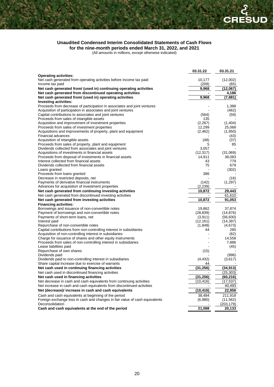#### **Unaudited Condensed Interim Consolidated Statements of Cash Flows for the nine-month periods ended March 31, 2022, and 2021**

(All amounts in millions, except otherwise indicated)

|                                                                                                | 03.31.22  | 03.31.21         |
|------------------------------------------------------------------------------------------------|-----------|------------------|
| <b>Operating activities:</b>                                                                   |           |                  |
| Net cash generated from operating activities before income tax paid                            | 10,177    | (12,002)         |
| Income tax paid                                                                                | (209)     | (65)             |
| Net cash generated from/ (used in) continuing operating activities                             | 9,968     | (12,067)         |
| Net cash generated from discontinued operating activities                                      |           | 4,186            |
| Net cash generated from/ (used in) operating activities                                        | 9,968     | (7,881)          |
| <b>Investing activities:</b>                                                                   |           |                  |
| Proceeds from decrease of participation in associates and joint ventures                       |           | 1,388            |
| Acquisition of participation in associates and joint ventures                                  |           | (462)            |
| Capital contributions to associates and joint ventures                                         | (564)     | (59)             |
| Proceeds from sales of intangible assets                                                       | 135       |                  |
| Acquisition and improvement of investment properties                                           | (2, 267)  | (1,404)          |
| Proceeds from sales of investment properties                                                   | 12,299    | 25,068           |
| Acquisitions and improvements of property, plant and equipment                                 | (2, 462)  | (1,950)          |
| Financial advances                                                                             |           | (43)             |
| Acquisition of intangible assets<br>Proceeds from sales of property, plant and equipment       | (48)<br>5 | (37)<br>85       |
| Dividends collected from associates and joint ventures                                         | 3,057     |                  |
| Acquisitions of investments in financial assets                                                | (12, 317) | (31,069)         |
| Proceeds from disposal of investments in financial assets                                      | 14,911    | 38,083           |
| Interest collected from financial assets                                                       | 43        | 779              |
| Dividends collected from financial assets                                                      | 75        | 679              |
| Loans granted                                                                                  |           | (302)            |
| Proceeds from loans granted                                                                    | 386       |                  |
| Decrease in restricted deposits, net                                                           |           | (16)             |
| Payments of derivative financial instruments                                                   | (142)     | (1,297)          |
| Advances for acquisition of investment properties                                              | (2,239)   |                  |
| Net cash generated from continuing investing activities                                        | 10,872    | 29,443           |
| Net cash generated from discontinued investing activities                                      |           | 61,610           |
| Net cash generated from investing activities                                                   | 10,872    | 91,053           |
| <b>Financing activities:</b>                                                                   |           |                  |
| Borrowings and issuance of non-convertible notes                                               | 19,862    | 37,874           |
| Payment of borrowings and non-convertible notes                                                | (28, 839) | (14, 876)        |
| Payments of short-term loans, net                                                              | (3,911)   | (56, 830)        |
| Interest paid                                                                                  | (12, 161) | (14, 397)        |
| Repurchase of non-convertible notes                                                            | (1,848)   | (4,673)          |
| Capital contributions from non-controlling interest in subsidiaries                            | 44        | 285              |
| Acquisition of non-controlling interest in subsidiaries                                        |           | (82)             |
| Charge for issuance of shares and other equity instruments                                     |           | 14,558           |
| Proceeds from sales of non-controlling interest in subsidiaries                                |           | 7,886            |
| Lease liabilities paid<br>Repurchase of own shares                                             |           | (45)             |
|                                                                                                | (15)      |                  |
| Dividends paid<br>Dividends paid to non-controlling interest in subsidiaries                   | (4, 432)  | (996)<br>(3,617) |
| Share capital increase due to exercise of warrants                                             | 44        |                  |
| Net cash used in continuing financing activities                                               | (31,256)  | 34,913)          |
| Net cash used in discontinued financing activities                                             |           | (25, 303)        |
| Net cash used in financing activities                                                          | (31, 256) | (60, 216)        |
| Net decrease in cash and cash equivalents from continuing activities                           | (10, 416) | (17, 537)        |
| Net increase in cash and cash equivalents from discontinued activities                         |           | 40,493           |
| Net (decrease)/ increase in cash and cash equivalents                                          | (10, 416) | 22,956           |
|                                                                                                |           |                  |
| Cash and cash equivalents at beginning of the period                                           | 38,484    | 211,918          |
| Foreign exchange loss in cash and changes in fair value of cash equivalents<br>Deconsolidation | (6,980)   | (11, 562)        |
| Cash and cash equivalents at the end of the period                                             |           | (203, 179)       |
|                                                                                                | 21,088    | 20,133           |